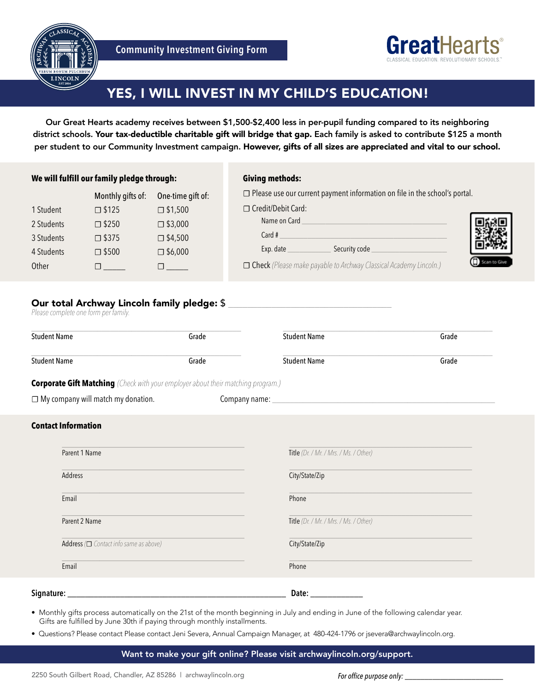



# YES, I WILL INVEST IN MY CHILD'S EDUCATION!

Our Great Hearts academy receives between \$1,500-\$2,400 less in per-pupil funding compared to its neighboring district schools. Your tax-deductible charitable gift will bridge that gap. Each family is asked to contribute \$125 a month per student to our Community Investment campaign. However, gifts of all sizes are appreciated and vital to our school.

#### **We will fulfill our family pledge through:**

## **Giving methods:**

□ Please use our current payment information on file in the school's portal.

| 1 Student  | $\square$ \$125 | $\square$ \$1,500 |
|------------|-----------------|-------------------|
| 2 Students | $\square$ \$250 | $\square$ \$3,000 |
| 3 Students | □ \$375         | $\square$ \$4,500 |
| 4 Students | $\square$ \$500 | $\square$ \$6,000 |
| Other      |                 |                   |

Monthly gifts of: One-time gift of:

|                      | $\Box$ i icase ase our carrent payment imomination on me in the school's portal. |  |
|----------------------|----------------------------------------------------------------------------------|--|
| □ Credit/Debit Card: |                                                                                  |  |
| Name on Card         |                                                                                  |  |
| Card #               |                                                                                  |  |
| Exp. date            | Security code                                                                    |  |
|                      | $\Box$ Check (Please make payable to Archway Classical Academy Lincoln.)         |  |

# Our total Archway Lincoln family pledge: \$ Please complete one form per family.

| <b>Student Name</b>                                                                     | Grade | <b>Student Name</b>                    | Grade |
|-----------------------------------------------------------------------------------------|-------|----------------------------------------|-------|
| <b>Student Name</b>                                                                     | Grade | <b>Student Name</b>                    | Grade |
| <b>Corporate Gift Matching</b> (Check with your employer about their matching program.) |       |                                        |       |
| $\Box$ My company will match my donation.                                               |       |                                        |       |
| <b>Contact Information</b>                                                              |       |                                        |       |
| Parent 1 Name                                                                           |       | Title (Dr. / Mr. / Mrs. / Ms. / Other) |       |
| Address                                                                                 |       | City/State/Zip                         |       |
| Email                                                                                   |       | Phone                                  |       |
| Parent 2 Name                                                                           |       | Title (Dr. / Mr. / Mrs. / Ms. / Other) |       |
| Address $(\Box$ Contact info same as above)                                             |       | City/State/Zip                         |       |
| Email                                                                                   |       | Phone                                  |       |

#### **Signature:** \_\_\_\_\_\_\_\_\_\_\_\_\_\_\_\_\_\_\_\_\_\_\_\_\_\_\_\_\_\_\_\_\_\_\_\_\_\_\_\_\_\_\_\_\_\_\_\_\_\_ **Date:** \_\_\_\_\_\_\_\_\_\_\_\_

• Monthly gifts process automatically on the 21st of the month beginning in July and ending in June of the following calendar year. Gifts are fulfilled by June 30th if paying through monthly installments.

• Questions? Please contact Please contact Jeni Severa, Annual Campaign Manager, at 480-424-1796 or jsevera@archwaylincoln.org.

Want to make your gift online? Please visit archwaylincoln.org/support.